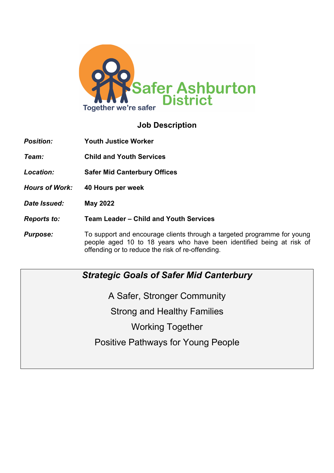

# **Job Description**

- *Position:* **Youth Justice Worker** *Team:* **Child and Youth Services**
- *Location:* **Safer Mid Canterbury Offices**
- *Hours of Work:* **40 Hours per week**
- *Date Issued:* **May 2022**
- *Reports to:* **Team Leader – Child and Youth Services**
- **Purpose:** To support and encourage clients through a targeted programme for young people aged 10 to 18 years who have been identified being at risk of offending or to reduce the risk of re-offending.

## *Strategic Goals of Safer Mid Canterbury*

A Safer, Stronger Community Strong and Healthy Families Working Together Positive Pathways for Young People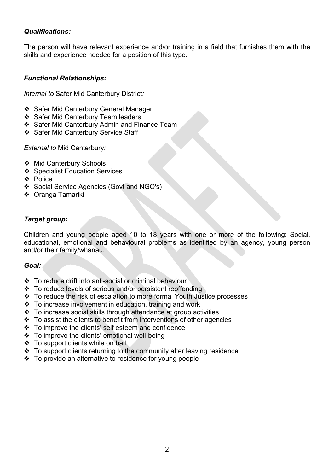### *Qualifications:*

The person will have relevant experience and/or training in a field that furnishes them with the skills and experience needed for a position of this type.

### *Functional Relationships:*

*Internal to* Safer Mid Canterbury District*:*

- ❖ Safer Mid Canterbury General Manager
- ❖ Safer Mid Canterbury Team leaders
- ❖ Safer Mid Canterbury Admin and Finance Team
- ❖ Safer Mid Canterbury Service Staff

*External to* Mid Canterbury*:*

- ❖ Mid Canterbury Schools
- ❖ Specialist Education Services
- ❖ Police
- v Social Service Agencies (Govt and NGO's)
- ❖ Oranga Tamariki

### *Target group:*

Children and young people aged 10 to 18 years with one or more of the following: Social, educational, emotional and behavioural problems as identified by an agency, young person and/or their family/whanau.

#### *Goal:*

- $\div$  To reduce drift into anti-social or criminal behaviour
- $\cdot$  To reduce levels of serious and/or persistent reoffending
- v To reduce the risk of escalation to more formal Youth Justice processes
- v To increase involvement in education, training and work
- $\cdot \cdot$  To increase social skills through attendance at group activities
- $\cdot \cdot$  To assist the clients to benefit from interventions of other agencies
- $\div$  To improve the clients' self esteem and confidence
- ❖ To improve the clients' emotional well-being
- $\div$  To support clients while on bail
- $\cdot \cdot$  To support clients returning to the community after leaving residence
- v To provide an alternative to residence for young people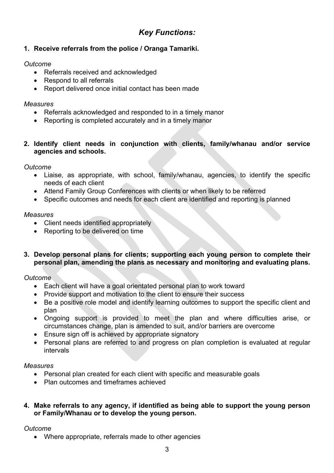# *Key Functions:*

## **1. Receive referrals from the police / Oranga Tamariki.**

## *Outcome*

- Referrals received and acknowledged
- Respond to all referrals
- Report delivered once initial contact has been made

## *Measures*

- Referrals acknowledged and responded to in a timely manor
- Reporting is completed accurately and in a timely manor
- **2. Identify client needs in conjunction with clients, family/whanau and/or service agencies and schools.**

*Outcome*

- Liaise, as appropriate, with school, family/whanau, agencies, to identify the specific needs of each client
- Attend Family Group Conferences with clients or when likely to be referred
- Specific outcomes and needs for each client are identified and reporting is planned

## *Measures*

- Client needs identified appropriately
- Reporting to be delivered on time
- **3. Develop personal plans for clients; supporting each young person to complete their personal plan, amending the plans as necessary and monitoring and evaluating plans.**

*Outcome*

- Each client will have a goal orientated personal plan to work toward
- Provide support and motivation to the client to ensure their success
- Be a positive role model and identify learning outcomes to support the specific client and plan
- Ongoing support is provided to meet the plan and where difficulties arise, or circumstances change, plan is amended to suit, and/or barriers are overcome
- Ensure sign off is achieved by appropriate signatory
- Personal plans are referred to and progress on plan completion is evaluated at regular intervals

## *Measures*

- Personal plan created for each client with specific and measurable goals
- Plan outcomes and timeframes achieved
- **4. Make referrals to any agency, if identified as being able to support the young person or Family/Whanau or to develop the young person.**

## *Outcome*

• Where appropriate, referrals made to other agencies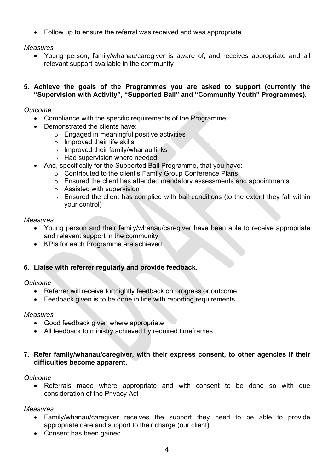• Follow up to ensure the referral was received and was appropriate

*Measures*

- Young person, family/whanau/caregiver is aware of, and receives appropriate and all relevant support available in the community
- **5. Achieve the goals of the Programmes you are asked to support (currently the "Supervision with Activity", "Supported Bail" and "Community Youth" Programmes).**

#### *Outcome*

- Compliance with the specific requirements of the Programme
- Demonstrated the clients have:
	- o Engaged in meaningful positive activities
	- o Improved their life skills
	- $\circ$  Improved their family/whanau links
	- o Had supervision where needed
	- And, specifically for the Supported Bail Programme, that you have:
		- o Contributed to the client's Family Group Conference Plans
		- o Ensured the client has attended mandatory assessments and appointments
		- o Assisted with supervision
		- o Ensured the client has complied with bail conditions (to the extent they fall within your control)

#### *Measures*

- Young person and their family/whanau/caregiver have been able to receive appropriate and relevant support in the community
- KPIs for each Programme are achieved

## **6. Liaise with referrer regularly and provide feedback.**

#### *Outcome*

- Referrer will receive fortnightly feedback on progress or outcome
- Feedback given is to be done in line with reporting requirements

#### *Measures*

- Good feedback given where appropriate
- All feedback to ministry achieved by required timeframes
- **7. Refer family/whanau/caregiver, with their express consent, to other agencies if their difficulties become apparent.**

#### *Outcome*

• Referrals made where appropriate and with consent to be done so with due consideration of the Privacy Act

#### *Measures*

- Family/whanau/caregiver receives the support they need to be able to provide appropriate care and support to their charge (our client)
- Consent has been gained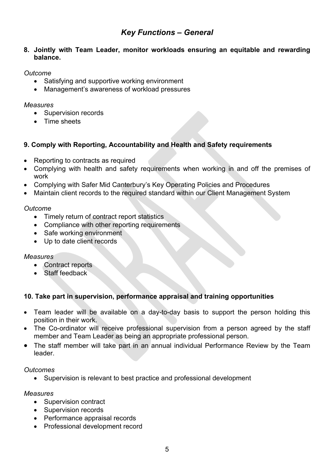## *Key Functions – General*

**8. Jointly with Team Leader, monitor workloads ensuring an equitable and rewarding balance.**

### *Outcome*

- Satisfying and supportive working environment
- Management's awareness of workload pressures

#### *Measures*

- Supervision records
- Time sheets

## **9. Comply with Reporting, Accountability and Health and Safety requirements**

- Reporting to contracts as required
- Complying with health and safety requirements when working in and off the premises of work
- Complying with Safer Mid Canterbury's Key Operating Policies and Procedures
- Maintain client records to the required standard within our Client Management System

### *Outcome*

- Timely return of contract report statistics
- Compliance with other reporting requirements
- Safe working environment
- Up to date client records

## *Measures*

- Contract reports
- Staff feedback

## **10. Take part in supervision, performance appraisal and training opportunities**

- Team leader will be available on a day-to-day basis to support the person holding this position in their work.
- The Co-ordinator will receive professional supervision from a person agreed by the staff member and Team Leader as being an appropriate professional person.
- The staff member will take part in an annual individual Performance Review by the Team leader.

## *Outcomes*

• Supervision is relevant to best practice and professional development

#### *Measures*

- Supervision contract
- Supervision records
- Performance appraisal records
- Professional development record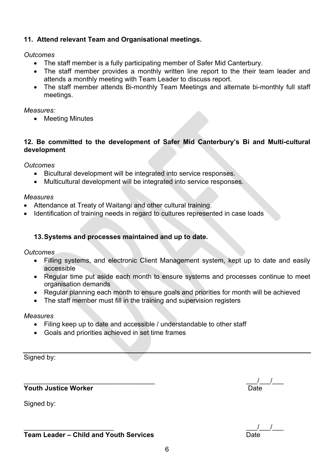## **11. Attend relevant Team and Organisational meetings.**

#### *Outcomes*

- The staff member is a fully participating member of Safer Mid Canterbury.
- The staff member provides a monthly written line report to the their team leader and attends a monthly meeting with Team Leader to discuss report.
- The staff member attends Bi-monthly Team Meetings and alternate bi-monthly full staff meetings.

#### *Measures:*

• Meeting Minutes

## **12. Be committed to the development of Safer Mid Canterbury's Bi and Multi-cultural development**

*Outcomes*

- Bicultural development will be integrated into service responses.
- Multicultural development will be integrated into service responses.

#### *Measures*

- Attendance at Treaty of Waitangi and other cultural training.
- Identification of training needs in regard to cultures represented in case loads

#### **13.Systems and processes maintained and up to date.**

*Outcomes*

- Filling systems, and electronic Client Management system, kept up to date and easily accessible
- Regular time put aside each month to ensure systems and processes continue to meet organisation demands
- Regular planning each month to ensure goals and priorities for month will be achieved
- The staff member must fill in the training and supervision registers

#### *Measures*

- Filing keep up to date and accessible / understandable to other staff
- Goals and priorities achieved in set time frames

Signed by:

**Youth Justice Worker** 

Signed by:

| <b>Team Leader – Child and Youth Services</b> | Date |
|-----------------------------------------------|------|
|                                               |      |

 $\frac{1}{\text{Date}}$ 

 $\frac{1}{\sqrt{2}}$  ,  $\frac{1}{\sqrt{2}}$  ,  $\frac{1}{\sqrt{2}}$  ,  $\frac{1}{\sqrt{2}}$  ,  $\frac{1}{\sqrt{2}}$  ,  $\frac{1}{\sqrt{2}}$  ,  $\frac{1}{\sqrt{2}}$  ,  $\frac{1}{\sqrt{2}}$  ,  $\frac{1}{\sqrt{2}}$  ,  $\frac{1}{\sqrt{2}}$  ,  $\frac{1}{\sqrt{2}}$  ,  $\frac{1}{\sqrt{2}}$  ,  $\frac{1}{\sqrt{2}}$  ,  $\frac{1}{\sqrt{2}}$  ,  $\frac{1}{\sqrt{2}}$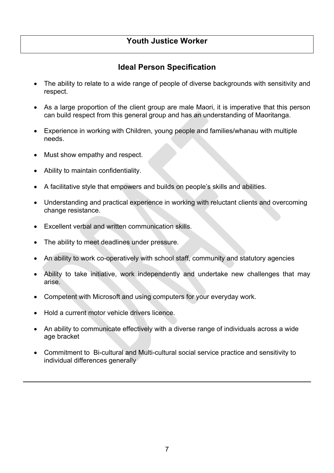## **Youth Justice Worker**

# **Ideal Person Specification**

- The ability to relate to a wide range of people of diverse backgrounds with sensitivity and respect.
- As a large proportion of the client group are male Maori, it is imperative that this person can build respect from this general group and has an understanding of Maoritanga.
- Experience in working with Children, young people and families/whanau with multiple needs.
- Must show empathy and respect.
- Ability to maintain confidentiality.
- A facilitative style that empowers and builds on people's skills and abilities.
- Understanding and practical experience in working with reluctant clients and overcoming change resistance.
- Excellent verbal and written communication skills.
- The ability to meet deadlines under pressure.
- An ability to work co-operatively with school staff, community and statutory agencies
- Ability to take initiative, work independently and undertake new challenges that may arise.
- Competent with Microsoft and using computers for your everyday work.
- Hold a current motor vehicle drivers licence.
- An ability to communicate effectively with a diverse range of individuals across a wide age bracket
- Commitment to Bi-cultural and Multi-cultural social service practice and sensitivity to individual differences generally